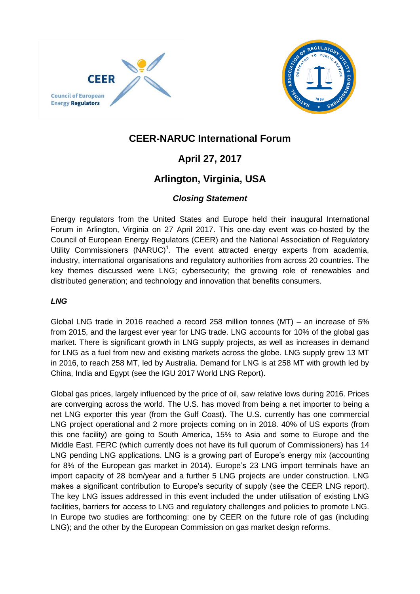



## **CEER-NARUC International Forum**

# **April 27, 2017**

# **Arlington, Virginia, USA**

## *Closing Statement*

Energy regulators from the United States and Europe held their inaugural International Forum in Arlington, Virginia on 27 April 2017. This one-day event was co-hosted by the Council of European Energy Regulators (CEER) and the National Association of Regulatory Utility Commissioners (NARUC)<sup>1</sup>. The event attracted energy experts from academia, industry, international organisations and regulatory authorities from across 20 countries. The key themes discussed were LNG; cybersecurity; the growing role of renewables and distributed generation; and technology and innovation that benefits consumers.

### *LNG*

Global LNG trade in 2016 reached a record 258 million tonnes (MT) – an increase of 5% from 2015, and the largest ever year for LNG trade. LNG accounts for 10% of the global gas market. There is significant growth in LNG supply projects, as well as increases in demand for LNG as a fuel from new and existing markets across the globe. LNG supply grew 13 MT in 2016, to reach 258 MT, led by Australia. Demand for LNG is at 258 MT with growth led by China, India and Egypt (see the IGU 2017 World LNG Report).

Global gas prices, largely influenced by the price of oil, saw relative lows during 2016. Prices are converging across the world. The U.S. has moved from being a net importer to being a net LNG exporter this year (from the Gulf Coast). The U.S. currently has one commercial LNG project operational and 2 more projects coming on in 2018. 40% of US exports (from this one facility) are going to South America, 15% to Asia and some to Europe and the Middle East. FERC (which currently does not have its full quorum of Commissioners) has 14 LNG pending LNG applications. LNG is a growing part of Europe's energy mix (accounting for 8% of the European gas market in 2014). Europe's 23 LNG import terminals have an import capacity of 28 bcm/year and a further 5 LNG projects are under construction. LNG makes a significant contribution to Europe's security of supply (see the CEER LNG report). The key LNG issues addressed in this event included the under utilisation of existing LNG facilities, barriers for access to LNG and regulatory challenges and policies to promote LNG. In Europe two studies are forthcoming: one by CEER on the future role of gas (including LNG); and the other by the European Commission on gas market design reforms.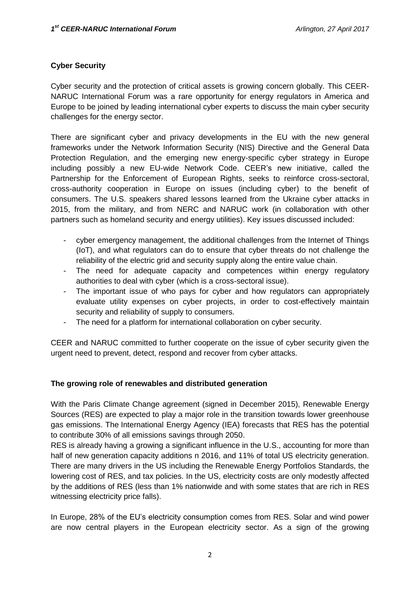#### **Cyber Security**

Cyber security and the protection of critical assets is growing concern globally. This CEER-NARUC International Forum was a rare opportunity for energy regulators in America and Europe to be joined by leading international cyber experts to discuss the main cyber security challenges for the energy sector.

There are significant cyber and privacy developments in the EU with the new general frameworks under the Network Information Security (NIS) Directive and the General Data Protection Regulation, and the emerging new energy-specific cyber strategy in Europe including possibly a new EU-wide Network Code. CEER's new initiative, called the Partnership for the Enforcement of European Rights, seeks to reinforce cross-sectoral, cross-authority cooperation in Europe on issues (including cyber) to the benefit of consumers. The U.S. speakers shared lessons learned from the Ukraine cyber attacks in 2015, from the military, and from NERC and NARUC work (in collaboration with other partners such as homeland security and energy utilities). Key issues discussed included:

- cyber emergency management, the additional challenges from the Internet of Things (IoT), and what regulators can do to ensure that cyber threats do not challenge the reliability of the electric grid and security supply along the entire value chain.
- The need for adequate capacity and competences within energy regulatory authorities to deal with cyber (which is a cross-sectoral issue).
- The important issue of who pays for cyber and how regulators can appropriately evaluate utility expenses on cyber projects, in order to cost-effectively maintain security and reliability of supply to consumers.
- The need for a platform for international collaboration on cyber security.

CEER and NARUC committed to further cooperate on the issue of cyber security given the urgent need to prevent, detect, respond and recover from cyber attacks.

#### **The growing role of renewables and distributed generation**

With the Paris Climate Change agreement (signed in December 2015), Renewable Energy Sources (RES) are expected to play a major role in the transition towards lower greenhouse gas emissions. The International Energy Agency (IEA) forecasts that RES has the potential to contribute 30% of all emissions savings through 2050.

RES is already having a growing a significant influence in the U.S., accounting for more than half of new generation capacity additions n 2016, and 11% of total US electricity generation. There are many drivers in the US including the Renewable Energy Portfolios Standards, the lowering cost of RES, and tax policies. In the US, electricity costs are only modestly affected by the additions of RES (less than 1% nationwide and with some states that are rich in RES witnessing electricity price falls).

In Europe, 28% of the EU's electricity consumption comes from RES. Solar and wind power are now central players in the European electricity sector. As a sign of the growing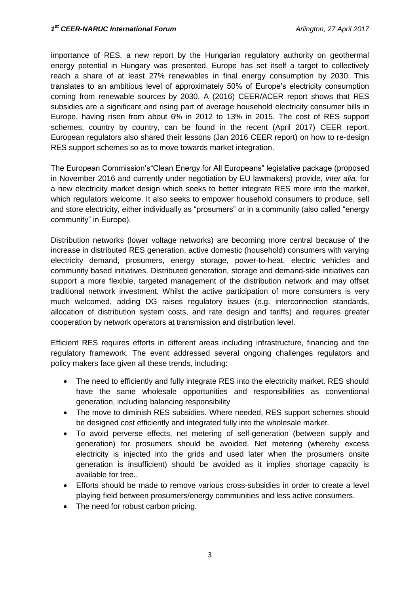importance of RES, a new report by the Hungarian regulatory authority on geothermal energy potential in Hungary was presented. Europe has set itself a target to collectively reach a share of at least 27% renewables in final energy consumption by 2030. This translates to an ambitious level of approximately 50% of Europe's electricity consumption coming from renewable sources by 2030. A (2016) CEER/ACER report shows that RES subsidies are a significant and rising part of average household electricity consumer bills in Europe, having risen from about 6% in 2012 to 13% in 2015. The cost of RES support schemes, country by country, can be found in the recent (April 2017) CEER report. European regulators also shared their lessons (Jan 2016 CEER report) on how to re-design RES support schemes so as to move towards market integration.

The European Commission's"Clean Energy for All Europeans" legislative package (proposed in November 2016 and currently under negotiation by EU lawmakers) provide, *inter alia,* for a new electricity market design which seeks to better integrate RES more into the market, which regulators welcome. It also seeks to empower household consumers to produce, sell and store electricity, either individually as "prosumers" or in a community (also called "energy community" in Europe).

Distribution networks (lower voltage networks) are becoming more central because of the increase in distributed RES generation, active domestic (household) consumers with varying electricity demand, prosumers, energy storage, power-to-heat, electric vehicles and community based initiatives. Distributed generation, storage and demand-side initiatives can support a more flexible, targeted management of the distribution network and may offset traditional network investment. Whilst the active participation of more consumers is very much welcomed, adding DG raises regulatory issues (e.g. interconnection standards, allocation of distribution system costs, and rate design and tariffs) and requires greater cooperation by network operators at transmission and distribution level.

Efficient RES requires efforts in different areas including infrastructure, financing and the regulatory framework. The event addressed several ongoing challenges regulators and policy makers face given all these trends, including:

- The need to efficiently and fully integrate RES into the electricity market. RES should have the same wholesale opportunities and responsibilities as conventional generation, including balancing responsibility
- The move to diminish RES subsidies. Where needed, RES support schemes should be designed cost efficiently and integrated fully into the wholesale market.
- To avoid perverse effects, net metering of self-generation (between supply and generation) for prosumers should be avoided. Net metering (whereby excess electricity is injected into the grids and used later when the prosumers onsite generation is insufficient) should be avoided as it implies shortage capacity is available for free..
- Efforts should be made to remove various cross-subsidies in order to create a level playing field between prosumers/energy communities and less active consumers.
- The need for robust carbon pricing.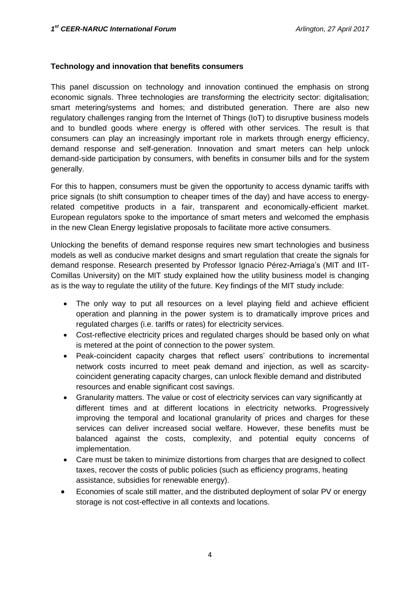#### **Technology and innovation that benefits consumers**

This panel discussion on technology and innovation continued the emphasis on strong economic signals. Three technologies are transforming the electricity sector: digitalisation; smart metering/systems and homes; and distributed generation. There are also new regulatory challenges ranging from the Internet of Things (IoT) to disruptive business models and to bundled goods where energy is offered with other services. The result is that consumers can play an increasingly important role in markets through energy efficiency, demand response and self-generation. Innovation and smart meters can help unlock demand-side participation by consumers, with benefits in consumer bills and for the system generally.

For this to happen, consumers must be given the opportunity to access dynamic tariffs with price signals (to shift consumption to cheaper times of the day) and have access to energyrelated competitive products in a fair, transparent and economically-efficient market. European regulators spoke to the importance of smart meters and welcomed the emphasis in the new Clean Energy legislative proposals to facilitate more active consumers.

Unlocking the benefits of demand response requires new smart technologies and business models as well as conducive market designs and smart regulation that create the signals for demand response. Research presented by Professor Ignacio Pérez-Arriaga's (MIT and IIT-Comillas University) on the MIT study explained how the utility business model is changing as is the way to regulate the utility of the future. Key findings of the MIT study include:

- The only way to put all resources on a level playing field and achieve efficient operation and planning in the power system is to dramatically improve prices and regulated charges (i.e. tariffs or rates) for electricity services.
- Cost-reflective electricity prices and regulated charges should be based only on what is metered at the point of connection to the power system.
- Peak-coincident capacity charges that reflect users' contributions to incremental network costs incurred to meet peak demand and injection, as well as scarcitycoincident generating capacity charges, can unlock flexible demand and distributed resources and enable significant cost savings.
- Granularity matters. The value or cost of electricity services can vary significantly at different times and at different locations in electricity networks. Progressively improving the temporal and locational granularity of prices and charges for these services can deliver increased social welfare. However, these benefits must be balanced against the costs, complexity, and potential equity concerns of implementation.
- Care must be taken to minimize distortions from charges that are designed to collect taxes, recover the costs of public policies (such as efficiency programs, heating assistance, subsidies for renewable energy).
- Economies of scale still matter, and the distributed deployment of solar PV or energy storage is not cost-effective in all contexts and locations.